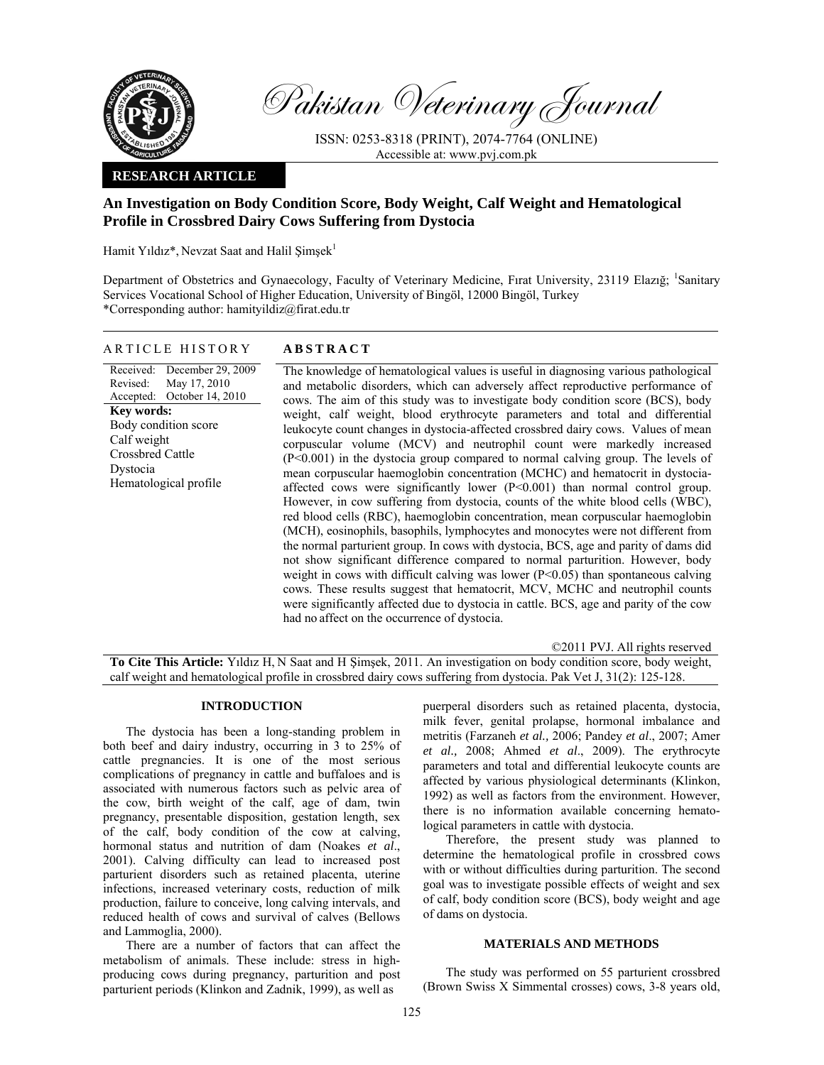

Pakistan Veterinary Journal

ISSN: 0253-8318 (PRINT), 2074-7764 (ONLINE) Accessible at: www.pvj.com.pk

# **RESEARCH ARTICLE**

# **An Investigation on Body Condition Score, Body Weight, Calf Weight and Hematological Profile in Crossbred Dairy Cows Suffering from Dystocia**

Hamit Yıldız\*, Nevzat Saat and Halil Şimşek<sup>1</sup>

Department of Obstetrics and Gynaecology, Faculty of Veterinary Medicine, Fırat University, 23119 Elazığ; <sup>1</sup>Sanitary Services Vocational School of Higher Education, University of Bingöl, 12000 Bingöl, Turkey \*Corresponding author: hamityildiz@firat.edu.tr

| ARTICLE HISTORY |  |  | <b>ABSTRACT</b> |
|-----------------|--|--|-----------------|
|-----------------|--|--|-----------------|

Received: Revised: Accepted: December 29, 2009 May 17, 2010 October 14, 2010 **Key words:**  Body condition score Calf weight Crossbred Cattle Dystocia Hematological profile

The knowledge of hematological values is useful in diagnosing various pathological and metabolic disorders, which can adversely affect reproductive performance of cows. The aim of this study was to investigate body condition score (BCS), body weight, calf weight, blood erythrocyte parameters and total and differential leukocyte count changes in dystocia-affected crossbred dairy cows. Values of mean corpuscular volume (MCV) and neutrophil count were markedly increased (P<0.001) in the dystocia group compared to normal calving group. The levels of mean corpuscular haemoglobin concentration (MCHC) and hematocrit in dystociaaffected cows were significantly lower (P<0.001) than normal control group. However, in cow suffering from dystocia, counts of the white blood cells (WBC), red blood cells (RBC), haemoglobin concentration, mean corpuscular haemoglobin (MCH), eosinophils, basophils, lymphocytes and monocytes were not different from the normal parturient group. In cows with dystocia, BCS, age and parity of dams did not show significant difference compared to normal parturition. However, body weight in cows with difficult calving was lower  $(P<0.05)$  than spontaneous calving cows. These results suggest that hematocrit, MCV, MCHC and neutrophil counts were significantly affected due to dystocia in cattle. BCS, age and parity of the cow had no affect on the occurrence of dystocia.

©2011 PVJ. All rights reserved **To Cite This Article:** Yıldız H, N Saat and H Şimşek, 2011. An investigation on body condition score, body weight, calf weight and hematological profile in crossbred dairy cows suffering from dystocia. Pak Vet J, 31(2): 125-128.

# **INTRODUCTION**

The dystocia has been a long-standing problem in both beef and dairy industry, occurring in 3 to 25% of cattle pregnancies. It is one of the most serious complications of pregnancy in cattle and buffaloes and is associated with numerous factors such as pelvic area of the cow, birth weight of the calf, age of dam, twin pregnancy, presentable disposition, gestation length, sex of the calf, body condition of the cow at calving, hormonal status and nutrition of dam (Noakes *et al*., 2001). Calving difficulty can lead to increased post parturient disorders such as retained placenta, uterine infections, increased veterinary costs, reduction of milk production, failure to conceive, long calving intervals, and reduced health of cows and survival of calves (Bellows and Lammoglia, 2000).

There are a number of factors that can affect the metabolism of animals. These include: stress in highproducing cows during pregnancy, parturition and post parturient periods (Klinkon and Zadnik, 1999), as well as

puerperal disorders such as retained placenta, dystocia, milk fever, genital prolapse, hormonal imbalance and metritis (Farzaneh *et al.,* 2006; Pandey *et al*., 2007; Amer *et al.,* 2008; Ahmed *et al*., 2009). The erythrocyte parameters and total and differential leukocyte counts are affected by various physiological determinants (Klinkon, 1992) as well as factors from the environment. However, there is no information available concerning hematological parameters in cattle with dystocia.

Therefore, the present study was planned to determine the hematological profile in crossbred cows with or without difficulties during parturition. The second goal was to investigate possible effects of weight and sex of calf, body condition score (BCS), body weight and age of dams on dystocia.

### **MATERIALS AND METHODS**

The study was performed on 55 parturient crossbred (Brown Swiss X Simmental crosses) cows, 3-8 years old,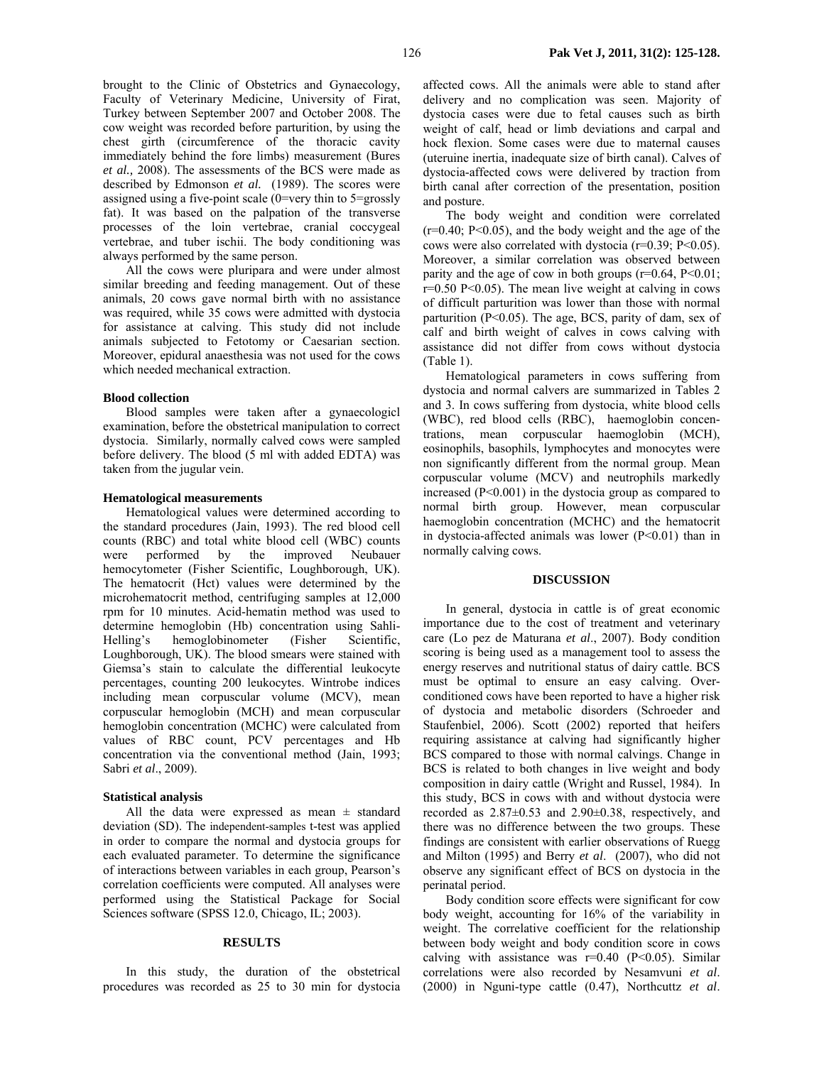brought to the Clinic of Obstetrics and Gynaecology, Faculty of Veterinary Medicine, University of Firat, Turkey between September 2007 and October 2008. The cow weight was recorded before parturition, by using the chest girth (circumference of the thoracic cavity immediately behind the fore limbs) measurement (Bures *et al.,* 2008). The assessments of the BCS were made as described by Edmonson *et al.* (1989). The scores were assigned using a five-point scale (0=very thin to 5=grossly fat). It was based on the palpation of the transverse processes of the loin vertebrae, cranial coccygeal vertebrae, and tuber ischii. The body conditioning was always performed by the same person.

All the cows were pluripara and were under almost similar breeding and feeding management. Out of these animals, 20 cows gave normal birth with no assistance was required, while 35 cows were admitted with dystocia for assistance at calving. This study did not include animals subjected to Fetotomy or Caesarian section. Moreover, epidural anaesthesia was not used for the cows which needed mechanical extraction.

#### **Blood collection**

Blood samples were taken after a gynaecologicl examination, before the obstetrical manipulation to correct dystocia. Similarly, normally calved cows were sampled before delivery. The blood (5 ml with added EDTA) was taken from the jugular vein.

#### **Hematological measurements**

Hematological values were determined according to the standard procedures (Jain, 1993). The red blood cell counts (RBC) and total white blood cell (WBC) counts were performed by the improved Neubauer hemocytometer (Fisher Scientific, Loughborough, UK). The hematocrit (Hct) values were determined by the microhematocrit method, centrifuging samples at 12,000 rpm for 10 minutes. Acid-hematin method was used to determine hemoglobin (Hb) concentration using Sahli-Helling's hemoglobinometer (Fisher Scientific, Loughborough, UK). The blood smears were stained with Giemsa's stain to calculate the differential leukocyte percentages, counting 200 leukocytes. Wintrobe indices including mean corpuscular volume (MCV), mean corpuscular hemoglobin (MCH) and mean corpuscular hemoglobin concentration (MCHC) were calculated from values of RBC count, PCV percentages and Hb concentration via the conventional method (Jain, 1993; Sabri *et al*., 2009).

#### **Statistical analysis**

All the data were expressed as mean  $\pm$  standard deviation (SD). The independent-samples t-test was applied in order to compare the normal and dystocia groups for each evaluated parameter. To determine the significance of interactions between variables in each group, Pearson's correlation coefficients were computed. All analyses were performed using the Statistical Package for Social Sciences software (SPSS 12.0, Chicago, IL; 2003).

#### **RESULTS**

In this study, the duration of the obstetrical procedures was recorded as 25 to 30 min for dystocia affected cows. All the animals were able to stand after delivery and no complication was seen. Majority of dystocia cases were due to fetal causes such as birth weight of calf, head or limb deviations and carpal and hock flexion. Some cases were due to maternal causes (uteruine inertia, inadequate size of birth canal). Calves of dystocia-affected cows were delivered by traction from birth canal after correction of the presentation, position and posture.

The body weight and condition were correlated  $(r=0.40; P<0.05)$ , and the body weight and the age of the cows were also correlated with dystocia (r=0.39; P<0.05). Moreover, a similar correlation was observed between parity and the age of cow in both groups  $(r=0.64, P<0.01;$  $r=0.50$  P<0.05). The mean live weight at calving in cows of difficult parturition was lower than those with normal parturition (P<0.05). The age, BCS, parity of dam, sex of calf and birth weight of calves in cows calving with assistance did not differ from cows without dystocia (Table 1).

Hematological parameters in cows suffering from dystocia and normal calvers are summarized in Tables 2 and 3. In cows suffering from dystocia, white blood cells (WBC), red blood cells (RBC), haemoglobin concentrations, mean corpuscular haemoglobin (MCH), eosinophils, basophils, lymphocytes and monocytes were non significantly different from the normal group. Mean corpuscular volume (MCV) and neutrophils markedly increased  $(P<0.001)$  in the dystocia group as compared to normal birth group. However, mean corpuscular haemoglobin concentration (MCHC) and the hematocrit in dystocia-affected animals was lower  $(P<0.01)$  than in normally calving cows.

#### **DISCUSSION**

In general, dystocia in cattle is of great economic importance due to the cost of treatment and veterinary care (Lo pez de Maturana *et al*., 2007). Body condition scoring is being used as a management tool to assess the energy reserves and nutritional status of dairy cattle. BCS must be optimal to ensure an easy calving. Overconditioned cows have been reported to have a higher risk of dystocia and metabolic disorders (Schroeder and Staufenbiel, 2006). Scott (2002) reported that heifers requiring assistance at calving had significantly higher BCS compared to those with normal calvings. Change in BCS is related to both changes in live weight and body composition in dairy cattle (Wright and Russel, 1984). In this study, BCS in cows with and without dystocia were recorded as 2.87±0.53 and 2.90±0.38, respectively, and there was no difference between the two groups. These findings are consistent with earlier observations of Ruegg and Milton (1995) and Berry *et al*. (2007), who did not observe any significant effect of BCS on dystocia in the perinatal period.

Body condition score effects were significant for cow body weight, accounting for 16% of the variability in weight. The correlative coefficient for the relationship between body weight and body condition score in cows calving with assistance was  $r=0.40$  (P<0.05). Similar correlations were also recorded by Nesamvuni *et al*. (2000) in Nguni-type cattle (0.47), Northcuttz *et al*.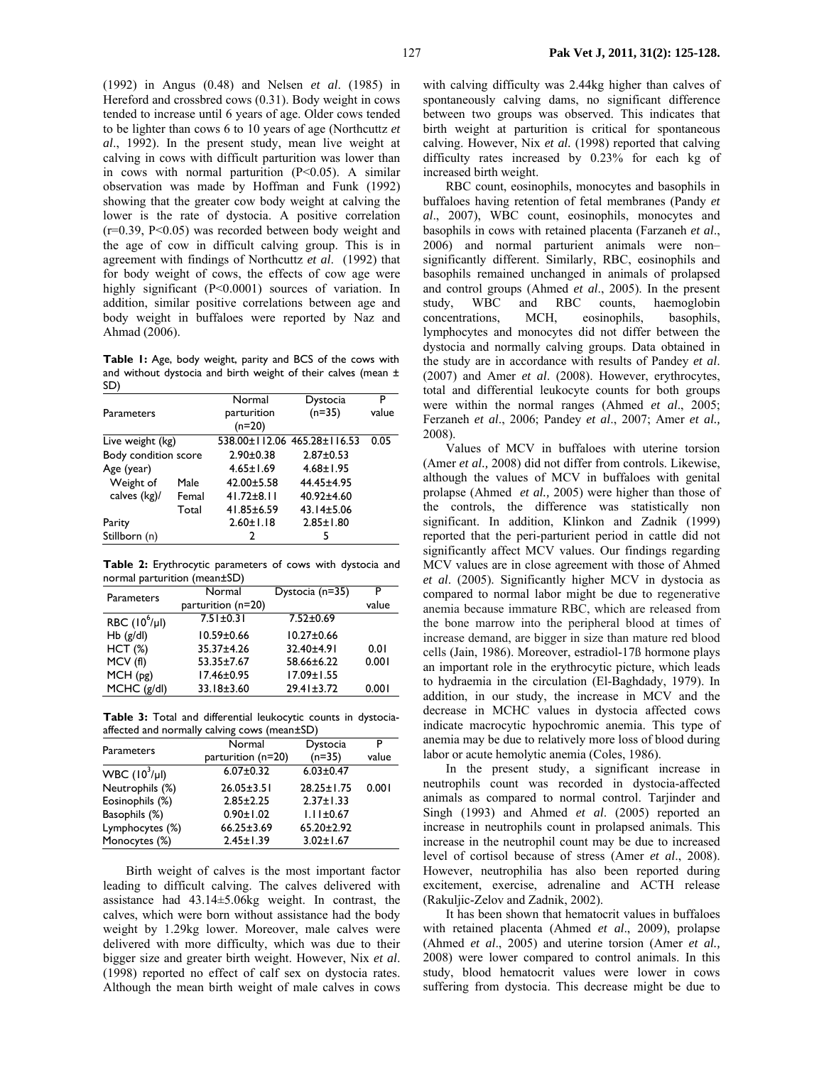(1992) in Angus (0.48) and Nelsen *et al*. (1985) in Hereford and crossbred cows (0.31). Body weight in cows tended to increase until 6 years of age. Older cows tended to be lighter than cows 6 to 10 years of age (Northcuttz *et al*., 1992). In the present study, mean live weight at calving in cows with difficult parturition was lower than in cows with normal parturition  $(P<0.05)$ . A similar observation was made by Hoffman and Funk (1992) showing that the greater cow body weight at calving the lower is the rate of dystocia. A positive correlation  $(r=0.39, P<0.05)$  was recorded between body weight and the age of cow in difficult calving group. This is in agreement with findings of Northcuttz *et al*. (1992) that for body weight of cows, the effects of cow age were highly significant (P<0.0001) sources of variation. In addition, similar positive correlations between age and body weight in buffaloes were reported by Naz and Ahmad (2006).

**Table 1:** Age, body weight, parity and BCS of the cows with and without dystocia and birth weight of their calves (mean ± SD)

| <b>Parameters</b>    |       | Normal<br>parturition<br>$(n=20)$ | Dystocia<br>$(n=35)$        | P<br>value |
|----------------------|-------|-----------------------------------|-----------------------------|------------|
| Live weight (kg)     |       |                                   | 538.00±112.06 465.28±116.53 | 0.05       |
| Body condition score |       | $2.90 \pm 0.38$                   | $2.87 + 0.53$               |            |
| Age (year)           |       | $4.65 \pm 1.69$                   | $4.68 \pm 1.95$             |            |
| Weight of            | Male  | $42.00 \pm 5.58$                  | 44.45±4.95                  |            |
| calves (kg)/         | Femal | $41.72 \pm 8.11$                  | 40.92±4.60                  |            |
|                      | Total | 41.85±6.59                        | $43.14 \pm 5.06$            |            |
| Parity               |       | $2.60 \pm 1.18$                   | $2.85 \pm 1.80$             |            |
| Stillborn (n)        |       | 2                                 | 5                           |            |
|                      |       |                                   |                             |            |

**Table 2:** Erythrocytic parameters of cows with dystocia and normal parturition (mean±SD)

| <b>Parameters</b>  | Normal             | Dystocia (n=35)  | Р     |
|--------------------|--------------------|------------------|-------|
|                    | parturition (n=20) |                  | value |
| RBC $(10^6/\mu I)$ | $7.51 \pm 0.31$    | $7.52 \pm 0.69$  |       |
| $Hb$ (g/dl)        | $10.59 \pm 0.66$   | $10.27 \pm 0.66$ |       |
| HCT(%)             | 35.37±4.26         | 32.40±4.91       | 0.01  |
| MCV(f)             | 53.35±7.67         | 58.66±6.22       | 0.001 |
| MCH(pg)            | 17.46±0.95         | 17.09±1.55       |       |
| MCHC (g/dl)        | 33.18±3.60         | $29.41 \pm 3.72$ | 0.001 |
|                    |                    |                  |       |

**Table 3:** Total and differential leukocytic counts in dystociaaffected and normally calving cows (mean±SD)

| Parameters         | Normal             | Dystocia         | P     |
|--------------------|--------------------|------------------|-------|
|                    | parturition (n=20) | $(n=35)$         | value |
| $WBC (10^3/\mu l)$ | $6.07 \pm 0.32$    | $6.03 \pm 0.47$  |       |
| Neutrophils (%)    | $26.05 \pm 3.51$   | $28.25 \pm 1.75$ | 0.001 |
| Eosinophils (%)    | $2.85 \pm 2.25$    | $2.37 \pm 1.33$  |       |
| Basophils (%)      | $0.90 \pm 1.02$    | $1.11 \pm 0.67$  |       |
| Lymphocytes (%)    | $66.25 \pm 3.69$   | $65.20 \pm 2.92$ |       |
| Monocytes (%)      | $2.45 \pm 1.39$    | $3.02 \pm 1.67$  |       |

Birth weight of calves is the most important factor leading to difficult calving. The calves delivered with assistance had 43.14±5.06kg weight. In contrast, the calves, which were born without assistance had the body weight by 1.29kg lower. Moreover, male calves were delivered with more difficulty, which was due to their bigger size and greater birth weight. However, Nix *et al*. (1998) reported no effect of calf sex on dystocia rates. Although the mean birth weight of male calves in cows

with calving difficulty was 2.44kg higher than calves of spontaneously calving dams, no significant difference between two groups was observed. This indicates that birth weight at parturition is critical for spontaneous calving. However, Nix *et al.* (1998) reported that calving difficulty rates increased by 0.23% for each kg of increased birth weight.

RBC count, eosinophils, monocytes and basophils in buffaloes having retention of fetal membranes (Pandy *et al*., 2007), WBC count, eosinophils, monocytes and basophils in cows with retained placenta (Farzaneh *et al*., 2006) and normal parturient animals were non– significantly different. Similarly, RBC, eosinophils and basophils remained unchanged in animals of prolapsed and control groups (Ahmed *et al*., 2005). In the present study, WBC and RBC counts, haemoglobin concentrations, MCH, eosinophils, basophils, lymphocytes and monocytes did not differ between the dystocia and normally calving groups. Data obtained in the study are in accordance with results of Pandey *et al*. (2007) and Amer *et al*. (2008). However, erythrocytes, total and differential leukocyte counts for both groups were within the normal ranges (Ahmed *et al*., 2005; Ferzaneh *et al*., 2006; Pandey *et al*., 2007; Amer *et al.,* 2008).

Values of MCV in buffaloes with uterine torsion (Amer *et al.,* 2008) did not differ from controls. Likewise, although the values of MCV in buffaloes with genital prolapse (Ahmed *et al.,* 2005) were higher than those of the controls, the difference was statistically non significant. In addition, Klinkon and Zadnik (1999) reported that the peri-parturient period in cattle did not significantly affect MCV values. Our findings regarding MCV values are in close agreement with those of Ahmed *et al*. (2005). Significantly higher MCV in dystocia as compared to normal labor might be due to regenerative anemia because immature RBC, which are released from the bone marrow into the peripheral blood at times of increase demand, are bigger in size than mature red blood cells (Jain, 1986). Moreover, estradiol-17ß hormone plays an important role in the erythrocytic picture, which leads to hydraemia in the circulation (El-Baghdady, 1979). In addition, in our study, the increase in MCV and the decrease in MCHC values in dystocia affected cows indicate macrocytic hypochromic anemia. This type of anemia may be due to relatively more loss of blood during labor or acute hemolytic anemia (Coles, 1986).

In the present study, a significant increase in neutrophils count was recorded in dystocia-affected animals as compared to normal control. Tarjinder and Singh (1993) and Ahmed *et al*. (2005) reported an increase in neutrophils count in prolapsed animals. This increase in the neutrophil count may be due to increased level of cortisol because of stress (Amer *et al*., 2008). However, neutrophilia has also been reported during excitement, exercise, adrenaline and ACTH release (Rakuljic-Zelov and Zadnik, 2002).

It has been shown that hematocrit values in buffaloes with retained placenta (Ahmed *et al*., 2009), prolapse (Ahmed *et al*., 2005) and uterine torsion (Amer *et al.,*  2008) were lower compared to control animals. In this study, blood hematocrit values were lower in cows suffering from dystocia. This decrease might be due to